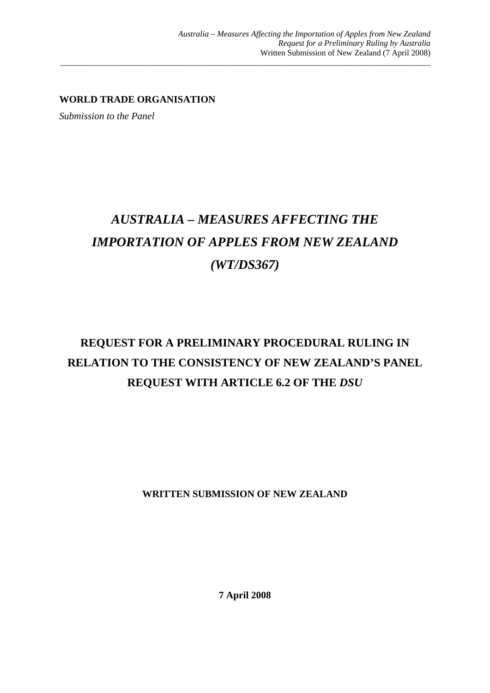**WORLD TRADE ORGANISATION** 

*Submission to the Panel* 

# *AUSTRALIA – MEASURES AFFECTING THE IMPORTATION OF APPLES FROM NEW ZEALAND (WT/DS367)*

\_\_\_\_\_\_\_\_\_\_\_\_\_\_\_\_\_\_\_\_\_\_\_\_\_\_\_\_\_\_\_\_\_\_\_\_\_\_\_\_\_\_\_\_\_\_\_\_\_\_\_\_\_\_\_\_\_\_\_\_\_\_\_\_\_\_\_\_\_\_\_\_\_\_\_\_\_\_\_\_\_\_\_\_\_\_\_\_\_\_

## **REQUEST FOR A PRELIMINARY PROCEDURAL RULING IN RELATION TO THE CONSISTENCY OF NEW ZEALAND'S PANEL REQUEST WITH ARTICLE 6.2 OF THE** *DSU*

**WRITTEN SUBMISSION OF NEW ZEALAND** 

**7 April 2008**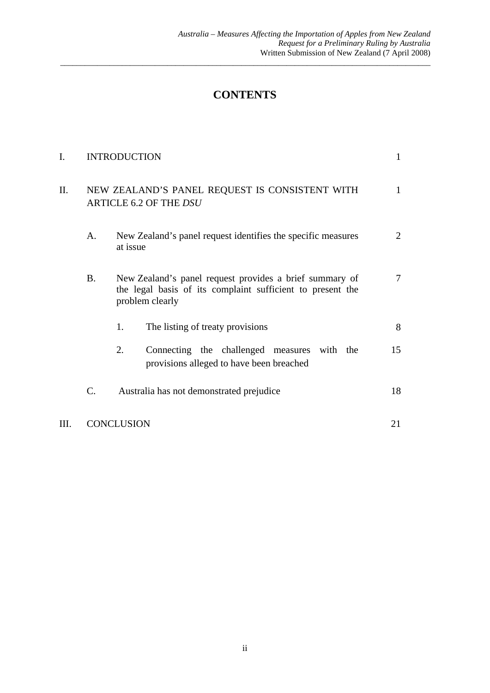### **CONTENTS**

\_\_\_\_\_\_\_\_\_\_\_\_\_\_\_\_\_\_\_\_\_\_\_\_\_\_\_\_\_\_\_\_\_\_\_\_\_\_\_\_\_\_\_\_\_\_\_\_\_\_\_\_\_\_\_\_\_\_\_\_\_\_\_\_\_\_\_\_\_\_\_\_\_\_\_\_\_\_\_\_\_\_\_\_\_\_\_\_\_\_

| I.   |                                                                          | <b>INTRODUCTION</b>                                                                                                                      |                |
|------|--------------------------------------------------------------------------|------------------------------------------------------------------------------------------------------------------------------------------|----------------|
| Π.   | NEW ZEALAND'S PANEL REQUEST IS CONSISTENT WITH<br>ARTICLE 6.2 OF THE DSU |                                                                                                                                          | 1              |
|      | A.                                                                       | New Zealand's panel request identifies the specific measures<br>at issue                                                                 | 2              |
|      | <b>B.</b>                                                                | New Zealand's panel request provides a brief summary of<br>the legal basis of its complaint sufficient to present the<br>problem clearly | $\overline{7}$ |
|      |                                                                          | 1.<br>The listing of treaty provisions                                                                                                   | 8              |
|      |                                                                          | 2.<br>Connecting the challenged measures<br>with the<br>provisions alleged to have been breached                                         | 15             |
|      | C.                                                                       | Australia has not demonstrated prejudice                                                                                                 | 18             |
| III. | <b>CONCLUSION</b>                                                        |                                                                                                                                          | 21             |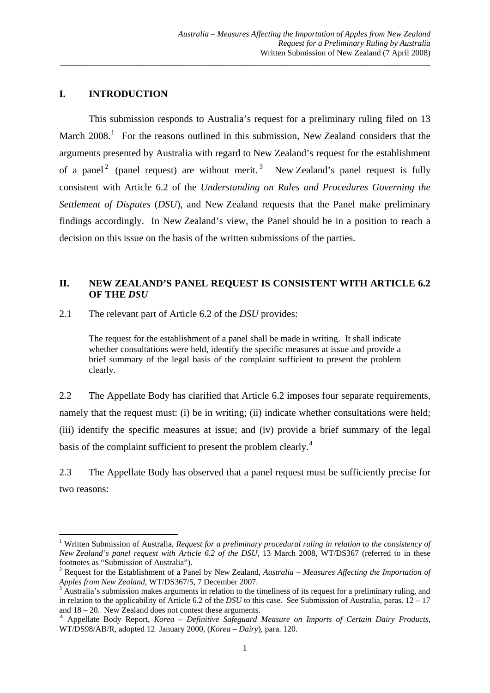#### **I. INTRODUCTION**

 This submission responds to Australia's request for a preliminary ruling filed on 13 March  $2008$ .<sup>[1](#page-2-0)</sup> For the reasons outlined in this submission, New Zealand considers that the arguments presented by Australia with regard to New Zealand's request for the establishment of a panel<sup>[2](#page-2-1)</sup> (panel request) are without merit.<sup>[3](#page-2-2)</sup> New Zealand's panel request is fully consistent with Article 6.2 of the *Understanding on Rules and Procedures Governing the Settlement of Disputes* (*DSU*), and New Zealand requests that the Panel make preliminary findings accordingly. In New Zealand's view, the Panel should be in a position to reach a decision on this issue on the basis of the written submissions of the parties.

\_\_\_\_\_\_\_\_\_\_\_\_\_\_\_\_\_\_\_\_\_\_\_\_\_\_\_\_\_\_\_\_\_\_\_\_\_\_\_\_\_\_\_\_\_\_\_\_\_\_\_\_\_\_\_\_\_\_\_\_\_\_\_\_\_\_\_\_\_\_\_\_\_\_\_\_\_\_\_\_\_\_\_\_\_\_\_\_\_\_

#### **II. NEW ZEALAND'S PANEL REQUEST IS CONSISTENT WITH ARTICLE 6.2 OF THE** *DSU*

2.1 The relevant part of Article 6.2 of the *DSU* provides:

The request for the establishment of a panel shall be made in writing. It shall indicate whether consultations were held, identify the specific measures at issue and provide a brief summary of the legal basis of the complaint sufficient to present the problem clearly.

2.2 The Appellate Body has clarified that Article 6.2 imposes four separate requirements, namely that the request must: (i) be in writing; (ii) indicate whether consultations were held; (iii) identify the specific measures at issue; and (iv) provide a brief summary of the legal basis of the complaint sufficient to present the problem clearly.<sup>[4](#page-2-3)</sup>

2.3 The Appellate Body has observed that a panel request must be sufficiently precise for two reasons:

<span id="page-2-0"></span><sup>&</sup>lt;sup>1</sup> Written Submission of Australia, *Request for a preliminary procedural ruling in relation to the consistency of New Zealand's panel request with Article 6.2 of the DSU*, 13 March 2008, WT/DS367 (referred to in these footnotes as "Submission of Australia").

<span id="page-2-1"></span><sup>2</sup> Request for the Establishment of a Panel by New Zealand, *Australia – Measures Affecting the Importation of Apples from New Zealand*, WT/DS367/5, 7 December 2007.

<span id="page-2-2"></span>Australia's submission makes arguments in relation to the timeliness of its request for a preliminary ruling, and in relation to the applicability of Article 6.2 of the *DSU* to this case. See Submission of Australia, paras. 12 – 17 and  $18 - 20$ . New Zealand does not contest these arguments.

<span id="page-2-3"></span>Appellate Body Report, *Korea – Definitive Safeguard Measure on Imports of Certain Dairy Products*, WT/DS98/AB/R, adopted 12 January 2000, (*Korea – Dairy*), para. 120.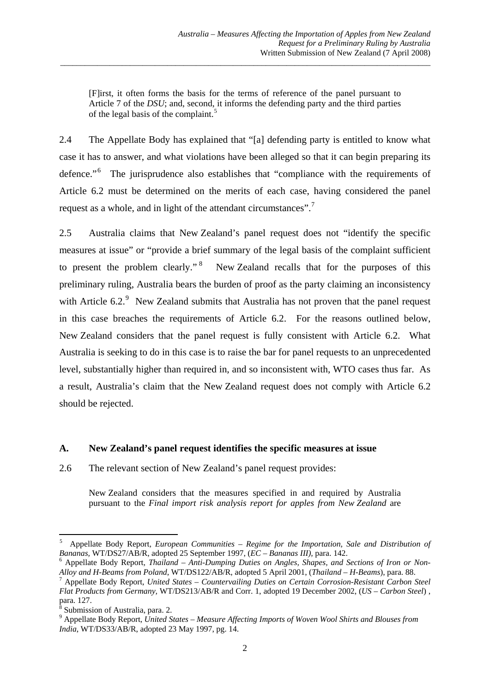[F]irst, it often forms the basis for the terms of reference of the panel pursuant to Article 7 of the *DSU*; and, second, it informs the defending party and the third parties of the legal basis of the complaint.<sup>[5](#page-3-0)</sup>

\_\_\_\_\_\_\_\_\_\_\_\_\_\_\_\_\_\_\_\_\_\_\_\_\_\_\_\_\_\_\_\_\_\_\_\_\_\_\_\_\_\_\_\_\_\_\_\_\_\_\_\_\_\_\_\_\_\_\_\_\_\_\_\_\_\_\_\_\_\_\_\_\_\_\_\_\_\_\_\_\_\_\_\_\_\_\_\_\_\_

2.4 The Appellate Body has explained that "[a] defending party is entitled to know what case it has to answer, and what violations have been alleged so that it can begin preparing its defence."<sup>[6](#page-3-1)</sup> The jurisprudence also establishes that "compliance with the requirements of Article 6.2 must be determined on the merits of each case, having considered the panel request as a whole, and in light of the attendant circumstances".[7](#page-3-2)

2.5 Australia claims that New Zealand's panel request does not "identify the specific measures at issue" or "provide a brief summary of the legal basis of the complaint sufficient to present the problem clearly."<sup>[8](#page-3-3)</sup> New Zealand recalls that for the purposes of this preliminary ruling, Australia bears the burden of proof as the party claiming an inconsistency with Article  $6.2$ . New Zealand submits that Australia has not proven that the panel request in this case breaches the requirements of Article 6.2. For the reasons outlined below, New Zealand considers that the panel request is fully consistent with Article 6.2. What Australia is seeking to do in this case is to raise the bar for panel requests to an unprecedented level, substantially higher than required in, and so inconsistent with, WTO cases thus far. As a result, Australia's claim that the New Zealand request does not comply with Article 6.2 should be rejected.

#### **A. New Zealand's panel request identifies the specific measures at issue**

2.6 The relevant section of New Zealand's panel request provides:

New Zealand considers that the measures specified in and required by Australia pursuant to the *Final import risk analysis report for apples from New Zealand* are

<span id="page-3-0"></span><sup>5</sup> Appellate Body Report, *European Communities – Regime for the Importation, Sale and Distribution of Bananas,* WT/DS27/AB/R, adopted 25 September 1997, (*EC – Bananas III),* para. 142. 6

<span id="page-3-1"></span>Appellate Body Report, *Thailand – Anti-Dumping Duties on Angles, Shapes, and Sections of Iron or Non-Alloy and H-Beams from Poland*, WT/DS122/AB/R, adopted 5 April 2001, (*Thailand – H-Beams*), para. 88. 7

<span id="page-3-2"></span>Appellate Body Report, *United States – Countervailing Duties on Certain Corrosion-Resistant Carbon Steel Flat Products from Germany,* WT/DS213/AB/R and Corr. 1, adopted 19 December 2002, (*US – Carbon Steel*) , para. 127.<br><sup>8</sup> Submissi

<span id="page-3-3"></span>Submission of Australia, para. 2.

<span id="page-3-4"></span><sup>9</sup> Appellate Body Report, *United States – Measure Affecting Imports of Woven Wool Shirts and Blouses from India*, WT/DS33/AB/R, adopted 23 May 1997, pg. 14.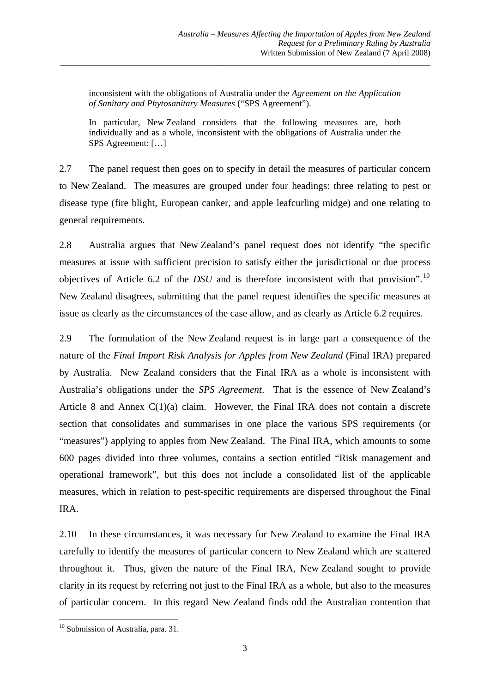inconsistent with the obligations of Australia under the *Agreement on the Application of Sanitary and Phytosanitary Measures* ("SPS Agreement").

\_\_\_\_\_\_\_\_\_\_\_\_\_\_\_\_\_\_\_\_\_\_\_\_\_\_\_\_\_\_\_\_\_\_\_\_\_\_\_\_\_\_\_\_\_\_\_\_\_\_\_\_\_\_\_\_\_\_\_\_\_\_\_\_\_\_\_\_\_\_\_\_\_\_\_\_\_\_\_\_\_\_\_\_\_\_\_\_\_\_

In particular, New Zealand considers that the following measures are, both individually and as a whole, inconsistent with the obligations of Australia under the SPS Agreement: […]

2.7 The panel request then goes on to specify in detail the measures of particular concern to New Zealand. The measures are grouped under four headings: three relating to pest or disease type (fire blight, European canker, and apple leafcurling midge) and one relating to general requirements.

2.8 Australia argues that New Zealand's panel request does not identify "the specific measures at issue with sufficient precision to satisfy either the jurisdictional or due process objectives of Article 6.2 of the *DSU* and is therefore inconsistent with that provision".<sup>[10](#page-4-0)</sup> New Zealand disagrees, submitting that the panel request identifies the specific measures at issue as clearly as the circumstances of the case allow, and as clearly as Article 6.2 requires.

2.9 The formulation of the New Zealand request is in large part a consequence of the nature of the *Final Import Risk Analysis for Apples from New Zealand* (Final IRA) prepared by Australia. New Zealand considers that the Final IRA as a whole is inconsistent with Australia's obligations under the *SPS Agreement*. That is the essence of New Zealand's Article 8 and Annex C(1)(a) claim. However, the Final IRA does not contain a discrete section that consolidates and summarises in one place the various SPS requirements (or "measures") applying to apples from New Zealand. The Final IRA, which amounts to some 600 pages divided into three volumes, contains a section entitled "Risk management and operational framework", but this does not include a consolidated list of the applicable measures, which in relation to pest-specific requirements are dispersed throughout the Final IRA.

2.10 In these circumstances, it was necessary for New Zealand to examine the Final IRA carefully to identify the measures of particular concern to New Zealand which are scattered throughout it. Thus, given the nature of the Final IRA, New Zealand sought to provide clarity in its request by referring not just to the Final IRA as a whole, but also to the measures of particular concern. In this regard New Zealand finds odd the Australian contention that

<span id="page-4-0"></span> <sup>10</sup> Submission of Australia, para. 31.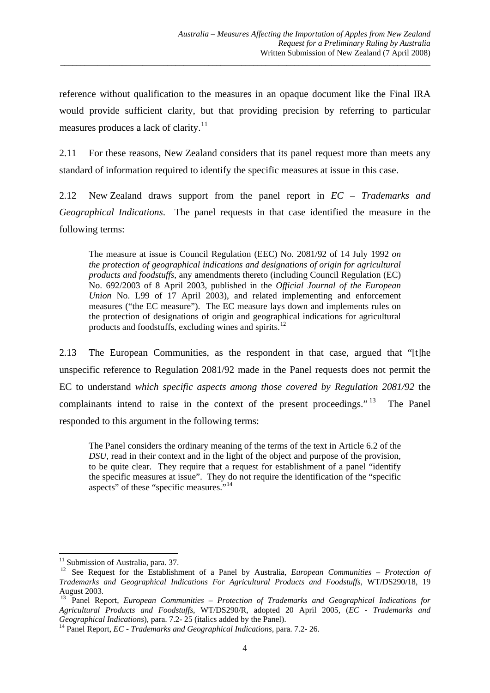reference without qualification to the measures in an opaque document like the Final IRA would provide sufficient clarity, but that providing precision by referring to particular measures produces a lack of clarity.<sup>[11](#page-5-0)</sup>

\_\_\_\_\_\_\_\_\_\_\_\_\_\_\_\_\_\_\_\_\_\_\_\_\_\_\_\_\_\_\_\_\_\_\_\_\_\_\_\_\_\_\_\_\_\_\_\_\_\_\_\_\_\_\_\_\_\_\_\_\_\_\_\_\_\_\_\_\_\_\_\_\_\_\_\_\_\_\_\_\_\_\_\_\_\_\_\_\_\_

2.11 For these reasons, New Zealand considers that its panel request more than meets any standard of information required to identify the specific measures at issue in this case.

2.12 New Zealand draws support from the panel report in *EC – Trademarks and Geographical Indications*. The panel requests in that case identified the measure in the following terms:

The measure at issue is Council Regulation (EEC) No. 2081/92 of 14 July 1992 *on the protection of geographical indications and designations of origin for agricultural products and foodstuffs*, any amendments thereto (including Council Regulation (EC) No. 692/2003 of 8 April 2003, published in the *Official Journal of the European Union* No. L99 of 17 April 2003), and related implementing and enforcement measures ("the EC measure"). The EC measure lays down and implements rules on the protection of designations of origin and geographical indications for agricultural products and foodstuffs, excluding wines and spirits.[12](#page-5-1)

2.13 The European Communities, as the respondent in that case, argued that "[t]he unspecific reference to Regulation 2081/92 made in the Panel requests does not permit the EC to understand *which specific aspects among those covered by Regulation 2081/92* the complainants intend to raise in the context of the present proceedings."<sup>[13](#page-5-2)</sup> The Panel responded to this argument in the following terms:

The Panel considers the ordinary meaning of the terms of the text in Article 6.2 of the *DSU*, read in their context and in the light of the object and purpose of the provision, to be quite clear. They require that a request for establishment of a panel "identify the specific measures at issue". They do not require the identification of the "specific aspects" of these "specific measures."[14](#page-5-3)

  $11$  Submission of Australia, para. 37.

<span id="page-5-1"></span><span id="page-5-0"></span><sup>&</sup>lt;sup>12</sup> See Request for the Establishment of a Panel by Australia, *European Communities – Protection of Trademarks and Geographical Indications For Agricultural Products and Foodstuffs*, WT/DS290/18, 19 August 2003.

<span id="page-5-2"></span><sup>&</sup>lt;sup>13</sup> Panel Report, *European Communities – Protection of Trademarks and Geographical Indications for Agricultural Products and Foodstuffs*, WT/DS290/R, adopted 20 April 2005, (*EC - Trademarks and* 

<span id="page-5-3"></span><sup>&</sup>lt;sup>14</sup> Panel Report, *EC - Trademarks and Geographical Indications*, para. 7.2- 26.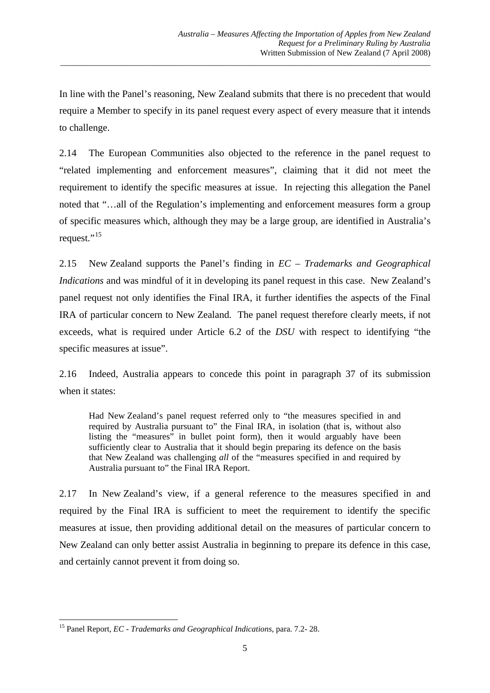In line with the Panel's reasoning, New Zealand submits that there is no precedent that would require a Member to specify in its panel request every aspect of every measure that it intends to challenge.

\_\_\_\_\_\_\_\_\_\_\_\_\_\_\_\_\_\_\_\_\_\_\_\_\_\_\_\_\_\_\_\_\_\_\_\_\_\_\_\_\_\_\_\_\_\_\_\_\_\_\_\_\_\_\_\_\_\_\_\_\_\_\_\_\_\_\_\_\_\_\_\_\_\_\_\_\_\_\_\_\_\_\_\_\_\_\_\_\_\_

2.14 The European Communities also objected to the reference in the panel request to "related implementing and enforcement measures", claiming that it did not meet the requirement to identify the specific measures at issue. In rejecting this allegation the Panel noted that "…all of the Regulation's implementing and enforcement measures form a group of specific measures which, although they may be a large group, are identified in Australia's request."<sup>[15](#page-6-0)</sup>

2.15 New Zealand supports the Panel's finding in *EC – Trademarks and Geographical Indications* and was mindful of it in developing its panel request in this case. New Zealand's panel request not only identifies the Final IRA, it further identifies the aspects of the Final IRA of particular concern to New Zealand. The panel request therefore clearly meets, if not exceeds, what is required under Article 6.2 of the *DSU* with respect to identifying "the specific measures at issue".

2.16 Indeed, Australia appears to concede this point in paragraph 37 of its submission when it states:

Had New Zealand's panel request referred only to "the measures specified in and required by Australia pursuant to" the Final IRA, in isolation (that is, without also listing the "measures" in bullet point form), then it would arguably have been sufficiently clear to Australia that it should begin preparing its defence on the basis that New Zealand was challenging *all* of the "measures specified in and required by Australia pursuant to" the Final IRA Report.

2.17 In New Zealand's view, if a general reference to the measures specified in and required by the Final IRA is sufficient to meet the requirement to identify the specific measures at issue, then providing additional detail on the measures of particular concern to New Zealand can only better assist Australia in beginning to prepare its defence in this case, and certainly cannot prevent it from doing so.

<span id="page-6-0"></span> 15 Panel Report, *EC - Trademarks and Geographical Indications*, para. 7.2- 28.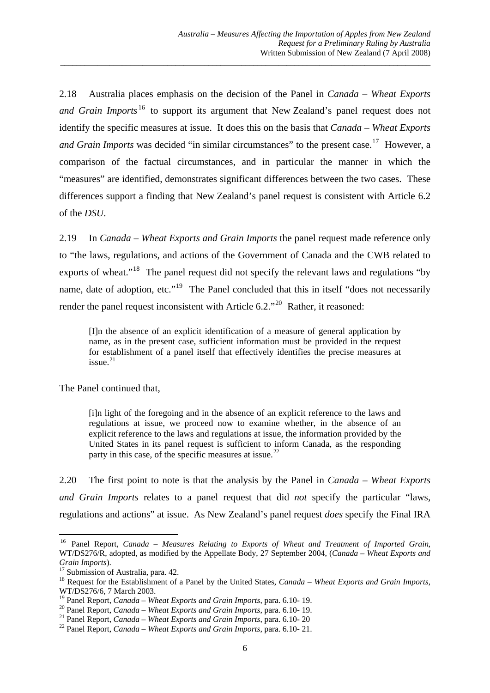2.18 Australia places emphasis on the decision of the Panel in *Canada – Wheat Exports and Grain Imports*<sup>[16](#page-7-0)</sup> to support its argument that New Zealand's panel request does not identify the specific measures at issue. It does this on the basis that *Canada – Wheat Exports and Grain Imports* was decided "in similar circumstances" to the present case.<sup>[17](#page-7-1)</sup> However, a comparison of the factual circumstances, and in particular the manner in which the "measures" are identified, demonstrates significant differences between the two cases. These differences support a finding that New Zealand's panel request is consistent with Article 6.2 of the *DSU*.

\_\_\_\_\_\_\_\_\_\_\_\_\_\_\_\_\_\_\_\_\_\_\_\_\_\_\_\_\_\_\_\_\_\_\_\_\_\_\_\_\_\_\_\_\_\_\_\_\_\_\_\_\_\_\_\_\_\_\_\_\_\_\_\_\_\_\_\_\_\_\_\_\_\_\_\_\_\_\_\_\_\_\_\_\_\_\_\_\_\_

2.19 In *Canada – Wheat Exports and Grain Imports* the panel request made reference only to "the laws, regulations, and actions of the Government of Canada and the CWB related to exports of wheat."<sup>[18](#page-7-2)</sup> The panel request did not specify the relevant laws and regulations "by name, date of adoption, etc."<sup>[19](#page-7-3)</sup> The Panel concluded that this in itself "does not necessarily render the panel request inconsistent with Article  $6.2$ ."<sup>[20](#page-7-4)</sup> Rather, it reasoned:

[I]n the absence of an explicit identification of a measure of general application by name, as in the present case, sufficient information must be provided in the request for establishment of a panel itself that effectively identifies the precise measures at issue. $21$ 

The Panel continued that,

[i]n light of the foregoing and in the absence of an explicit reference to the laws and regulations at issue, we proceed now to examine whether, in the absence of an explicit reference to the laws and regulations at issue, the information provided by the United States in its panel request is sufficient to inform Canada, as the responding party in this case, of the specific measures at issue.<sup>[22](#page-7-6)</sup>

2.20 The first point to note is that the analysis by the Panel in *Canada – Wheat Exports and Grain Imports* relates to a panel request that did *not* specify the particular "laws, regulations and actions" at issue. As New Zealand's panel request *does* specify the Final IRA

<span id="page-7-0"></span><sup>&</sup>lt;sup>16</sup> Panel Report, *Canada - Measures Relating to Exports of Wheat and Treatment of Imported Grain*, WT/DS276/R, adopted, as modified by the Appellate Body, 27 September 2004, (*Canada – Wheat Exports and Grain Imports*). 17 Submission of Australia, para. 42.

<span id="page-7-2"></span><span id="page-7-1"></span><sup>&</sup>lt;sup>18</sup> Request for the Establishment of a Panel by the United States, *Canada – Wheat Exports and Grain Imports*, WT/DS276/6, 7 March 2003.<br><sup>19</sup> Panel Report, *Canada – Wheat Exports and Grain Imports*, para. 6.10-19.

<span id="page-7-5"></span><span id="page-7-4"></span><span id="page-7-3"></span><sup>&</sup>lt;sup>20</sup> Panel Report, *Canada – Wheat Exports and Grain Imports*, para. 6.10- 19.<br><sup>21</sup> Panel Report, *Canada – Wheat Exports and Grain Imports*, para. 6.10- 20<br><sup>22</sup> Panel Report, *Canada – Wheat Exports and Grain Imports*, p

<span id="page-7-6"></span>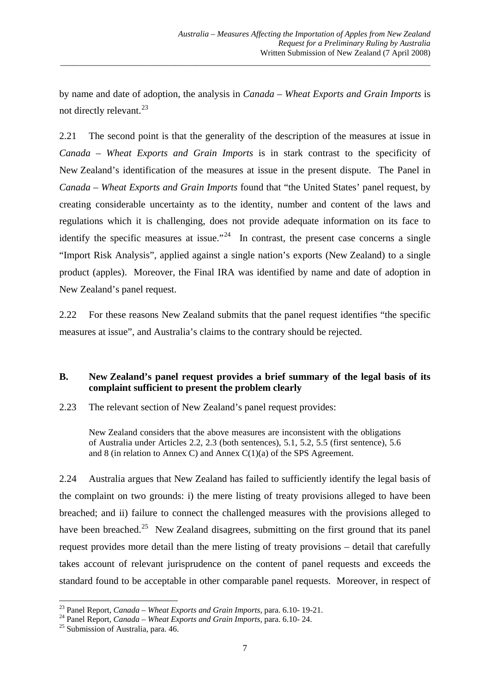by name and date of adoption, the analysis in *Canada – Wheat Exports and Grain Imports* is not directly relevant.<sup>[23](#page-8-0)</sup>

\_\_\_\_\_\_\_\_\_\_\_\_\_\_\_\_\_\_\_\_\_\_\_\_\_\_\_\_\_\_\_\_\_\_\_\_\_\_\_\_\_\_\_\_\_\_\_\_\_\_\_\_\_\_\_\_\_\_\_\_\_\_\_\_\_\_\_\_\_\_\_\_\_\_\_\_\_\_\_\_\_\_\_\_\_\_\_\_\_\_

2.21 The second point is that the generality of the description of the measures at issue in *Canada – Wheat Exports and Grain Imports* is in stark contrast to the specificity of New Zealand's identification of the measures at issue in the present dispute. The Panel in *Canada – Wheat Exports and Grain Imports* found that "the United States' panel request, by creating considerable uncertainty as to the identity, number and content of the laws and regulations which it is challenging, does not provide adequate information on its face to identify the specific measures at issue."<sup>[24](#page-8-1)</sup> In contrast, the present case concerns a single "Import Risk Analysis", applied against a single nation's exports (New Zealand) to a single product (apples). Moreover, the Final IRA was identified by name and date of adoption in New Zealand's panel request.

2.22 For these reasons New Zealand submits that the panel request identifies "the specific measures at issue", and Australia's claims to the contrary should be rejected.

#### **B. New Zealand's panel request provides a brief summary of the legal basis of its complaint sufficient to present the problem clearly**

2.23 The relevant section of New Zealand's panel request provides:

New Zealand considers that the above measures are inconsistent with the obligations of Australia under Articles 2.2, 2.3 (both sentences), 5.1, 5.2, 5.5 (first sentence), 5.6 and 8 (in relation to Annex C) and Annex C(1)(a) of the SPS Agreement.

2.24 Australia argues that New Zealand has failed to sufficiently identify the legal basis of the complaint on two grounds: i) the mere listing of treaty provisions alleged to have been breached; and ii) failure to connect the challenged measures with the provisions alleged to have been breached.<sup>[25](#page-8-2)</sup> New Zealand disagrees, submitting on the first ground that its panel request provides more detail than the mere listing of treaty provisions – detail that carefully takes account of relevant jurisprudence on the content of panel requests and exceeds the standard found to be acceptable in other comparable panel requests. Moreover, in respect of

<span id="page-8-0"></span><sup>&</sup>lt;sup>23</sup> Panel Report, *Canada – Wheat Exports and Grain Imports*, para, 6.10-19-21.

<span id="page-8-1"></span><sup>&</sup>lt;sup>24</sup> Panel Report, *Canada – Wheat Exports and Grain Imports*, para. 6.10- 24.<br><sup>25</sup> Submission of Australia, para. 46.

<span id="page-8-2"></span>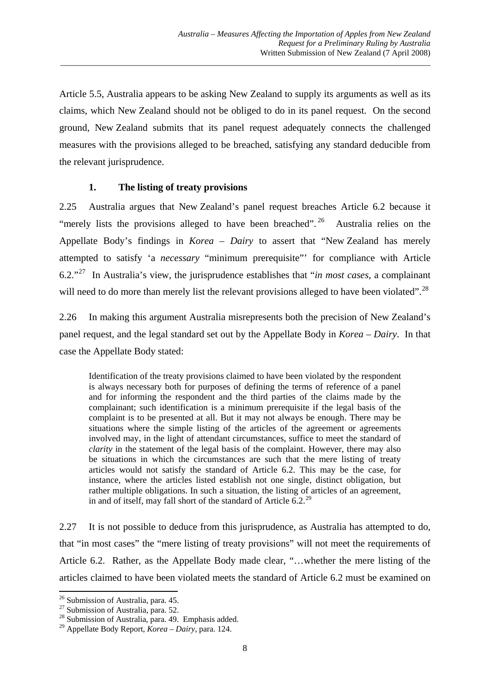Article 5.5, Australia appears to be asking New Zealand to supply its arguments as well as its claims, which New Zealand should not be obliged to do in its panel request. On the second ground, New Zealand submits that its panel request adequately connects the challenged measures with the provisions alleged to be breached, satisfying any standard deducible from the relevant jurisprudence.

\_\_\_\_\_\_\_\_\_\_\_\_\_\_\_\_\_\_\_\_\_\_\_\_\_\_\_\_\_\_\_\_\_\_\_\_\_\_\_\_\_\_\_\_\_\_\_\_\_\_\_\_\_\_\_\_\_\_\_\_\_\_\_\_\_\_\_\_\_\_\_\_\_\_\_\_\_\_\_\_\_\_\_\_\_\_\_\_\_\_

#### **1. The listing of treaty provisions**

2.25 Australia argues that New Zealand's panel request breaches Article 6.2 because it "merely lists the provisions alleged to have been breached".  $26$  Australia relies on the Appellate Body's findings in *Korea – Dairy* to assert that "New Zealand has merely attempted to satisfy 'a *necessary* "minimum prerequisite"' for compliance with Article 6.2."[27](#page-9-1) In Australia's view, the jurisprudence establishes that "*in most cases*, a complainant will need to do more than merely list the relevant provisions alleged to have been violated".<sup>[28](#page-9-2)</sup>

2.26 In making this argument Australia misrepresents both the precision of New Zealand's panel request, and the legal standard set out by the Appellate Body in *Korea – Dairy*. In that case the Appellate Body stated:

Identification of the treaty provisions claimed to have been violated by the respondent is always necessary both for purposes of defining the terms of reference of a panel and for informing the respondent and the third parties of the claims made by the complainant; such identification is a minimum prerequisite if the legal basis of the complaint is to be presented at all. But it may not always be enough. There may be situations where the simple listing of the articles of the agreement or agreements involved may, in the light of attendant circumstances, suffice to meet the standard of *clarity* in the statement of the legal basis of the complaint. However, there may also be situations in which the circumstances are such that the mere listing of treaty articles would not satisfy the standard of Article 6.2. This may be the case, for instance, where the articles listed establish not one single, distinct obligation, but rather multiple obligations. In such a situation, the listing of articles of an agreement, in and of itself, may fall short of the standard of Article  $6.2<sup>29</sup>$  $6.2<sup>29</sup>$  $6.2<sup>29</sup>$ 

2.27 It is not possible to deduce from this jurisprudence, as Australia has attempted to do, that "in most cases" the "mere listing of treaty provisions" will not meet the requirements of Article 6.2. Rather, as the Appellate Body made clear, "…whether the mere listing of the articles claimed to have been violated meets the standard of Article 6.2 must be examined on

 <sup>26</sup> Submission of Australia, para. 45.

<span id="page-9-1"></span><span id="page-9-0"></span><sup>&</sup>lt;sup>27</sup> Submission of Australia, para. 52.

<span id="page-9-2"></span><sup>&</sup>lt;sup>28</sup> Submission of Australia, para. 49. Emphasis added.

<span id="page-9-3"></span><sup>29</sup> Appellate Body Report, *Korea – Dairy*, para. 124.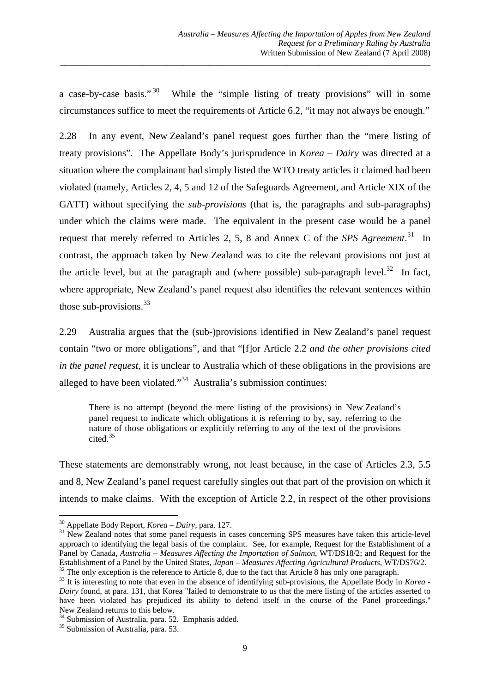a case-by-case basis."<sup>[30](#page-10-0)</sup> While the "simple listing of treaty provisions" will in some circumstances suffice to meet the requirements of Article 6.2, "it may not always be enough."

\_\_\_\_\_\_\_\_\_\_\_\_\_\_\_\_\_\_\_\_\_\_\_\_\_\_\_\_\_\_\_\_\_\_\_\_\_\_\_\_\_\_\_\_\_\_\_\_\_\_\_\_\_\_\_\_\_\_\_\_\_\_\_\_\_\_\_\_\_\_\_\_\_\_\_\_\_\_\_\_\_\_\_\_\_\_\_\_\_\_

2.28 In any event, New Zealand's panel request goes further than the "mere listing of treaty provisions". The Appellate Body's jurisprudence in *Korea – Dairy* was directed at a situation where the complainant had simply listed the WTO treaty articles it claimed had been violated (namely, Articles 2, 4, 5 and 12 of the Safeguards Agreement, and Article XIX of the GATT) without specifying the *sub-provisions* (that is, the paragraphs and sub-paragraphs) under which the claims were made. The equivalent in the present case would be a panel request that merely referred to Articles 2, 5, 8 and Annex C of the *SPS Agreement*. [31](#page-10-1) In contrast, the approach taken by New Zealand was to cite the relevant provisions not just at the article level, but at the paragraph and (where possible) sub-paragraph level.<sup>[32](#page-10-2)</sup> In fact, where appropriate, New Zealand's panel request also identifies the relevant sentences within those sub-provisions. $33$ 

2.29 Australia argues that the (sub-)provisions identified in New Zealand's panel request contain "two or more obligations", and that "[f]or Article 2.2 *and the other provisions cited in the panel request*, it is unclear to Australia which of these obligations in the provisions are alleged to have been violated."<sup>[34](#page-10-4)</sup> Australia's submission continues:

There is no attempt (beyond the mere listing of the provisions) in New Zealand's panel request to indicate which obligations it is referring to by, say, referring to the nature of those obligations or explicitly referring to any of the text of the provisions cited<sup>[35](#page-10-5)</sup>

These statements are demonstrably wrong, not least because, in the case of Articles 2.3, 5.5 and 8, New Zealand's panel request carefully singles out that part of the provision on which it intends to make claims. With the exception of Article 2.2, in respect of the other provisions

<span id="page-10-0"></span> $30$  Appellate Body Report, *Korea – Dairy*, para. 127.

<span id="page-10-1"></span><sup>&</sup>lt;sup>31</sup> New Zealand notes that some panel requests in cases concerning SPS measures have taken this article-level approach to identifying the legal basis of the complaint. See, for example, Request for the Establishment of a Panel by Canada, *Australia – Measures Affecting the Importation of Salmon*, WT/DS18/2; and Request for the Establishment of a Panel by the United States, *Japan – Measures Affecting Agricultural Products*, WT/DS76/2.

<span id="page-10-3"></span><span id="page-10-2"></span> $32$  The only exception is the reference to Article 8, due to the fact that Article 8 has only one paragraph.<br> $33$  It is interesting to note that even in the absence of identifying sub-provisions, the Appellate Body in *K Dairy* found, at para. 131, that Korea "failed to demonstrate to us that the mere listing of the articles asserted to have been violated has prejudiced its ability to defend itself in the course of the Panel proceedings." New Zealand returns to this below.

<sup>34</sup> Submission of Australia, para. 52. Emphasis added.

<span id="page-10-5"></span><span id="page-10-4"></span><sup>&</sup>lt;sup>35</sup> Submission of Australia, para. 53.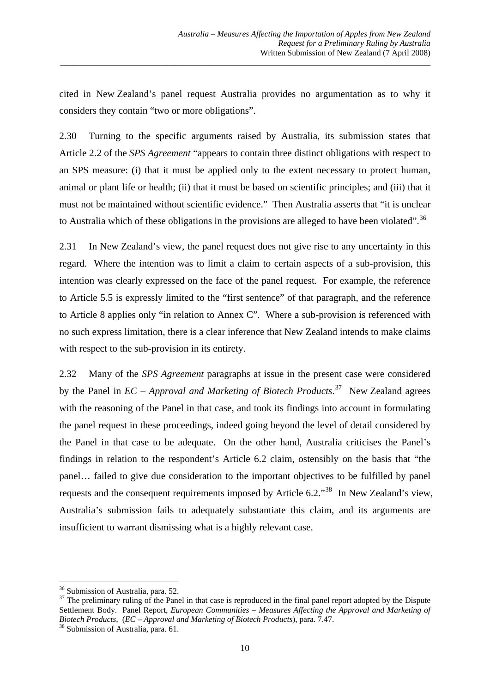cited in New Zealand's panel request Australia provides no argumentation as to why it considers they contain "two or more obligations".

\_\_\_\_\_\_\_\_\_\_\_\_\_\_\_\_\_\_\_\_\_\_\_\_\_\_\_\_\_\_\_\_\_\_\_\_\_\_\_\_\_\_\_\_\_\_\_\_\_\_\_\_\_\_\_\_\_\_\_\_\_\_\_\_\_\_\_\_\_\_\_\_\_\_\_\_\_\_\_\_\_\_\_\_\_\_\_\_\_\_

2.30 Turning to the specific arguments raised by Australia, its submission states that Article 2.2 of the *SPS Agreement* "appears to contain three distinct obligations with respect to an SPS measure: (i) that it must be applied only to the extent necessary to protect human, animal or plant life or health; (ii) that it must be based on scientific principles; and (iii) that it must not be maintained without scientific evidence." Then Australia asserts that "it is unclear to Australia which of these obligations in the provisions are alleged to have been violated".<sup>[36](#page-11-0)</sup>

2.31 In New Zealand's view, the panel request does not give rise to any uncertainty in this regard. Where the intention was to limit a claim to certain aspects of a sub-provision, this intention was clearly expressed on the face of the panel request. For example, the reference to Article 5.5 is expressly limited to the "first sentence" of that paragraph, and the reference to Article 8 applies only "in relation to Annex C". Where a sub-provision is referenced with no such express limitation, there is a clear inference that New Zealand intends to make claims with respect to the sub-provision in its entirety.

2.32 Many of the *SPS Agreement* paragraphs at issue in the present case were considered by the Panel in *EC – Approval and Marketing of Biotech Products*. [37](#page-11-1) New Zealand agrees with the reasoning of the Panel in that case, and took its findings into account in formulating the panel request in these proceedings, indeed going beyond the level of detail considered by the Panel in that case to be adequate. On the other hand, Australia criticises the Panel's findings in relation to the respondent's Article 6.2 claim, ostensibly on the basis that "the panel… failed to give due consideration to the important objectives to be fulfilled by panel requests and the consequent requirements imposed by Article 6.2."[38](#page-11-2) In New Zealand's view, Australia's submission fails to adequately substantiate this claim, and its arguments are insufficient to warrant dismissing what is a highly relevant case.

 <sup>36</sup> Submission of Australia, para. 52.

<span id="page-11-1"></span><span id="page-11-0"></span> $37$  The preliminary ruling of the Panel in that case is reproduced in the final panel report adopted by the Dispute Settlement Body. Panel Report, *European Communities – Measures Affecting the Approval and Marketing of Biotech Products*, (*EC – Approval and Marketing of Biotech Products*), para. 7.47. 38 Submission of Australia, para. 61.

<span id="page-11-2"></span>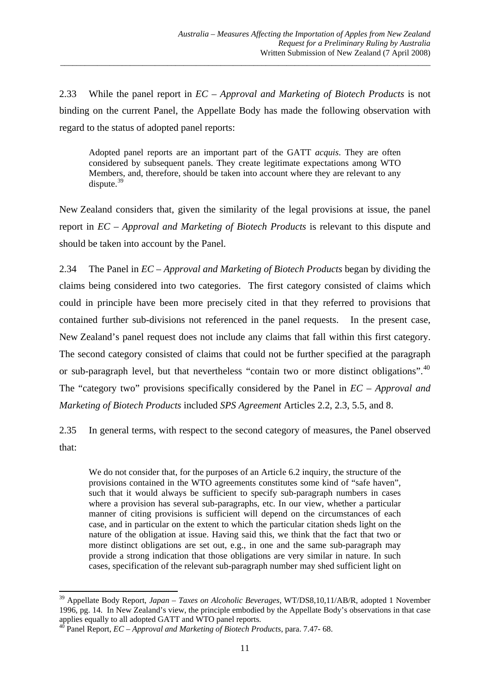2.33 While the panel report in *EC – Approval and Marketing of Biotech Products* is not binding on the current Panel, the Appellate Body has made the following observation with regard to the status of adopted panel reports:

\_\_\_\_\_\_\_\_\_\_\_\_\_\_\_\_\_\_\_\_\_\_\_\_\_\_\_\_\_\_\_\_\_\_\_\_\_\_\_\_\_\_\_\_\_\_\_\_\_\_\_\_\_\_\_\_\_\_\_\_\_\_\_\_\_\_\_\_\_\_\_\_\_\_\_\_\_\_\_\_\_\_\_\_\_\_\_\_\_\_

Adopted panel reports are an important part of the GATT *acquis*. They are often considered by subsequent panels. They create legitimate expectations among WTO Members, and, therefore, should be taken into account where they are relevant to any dispute. $39$ 

New Zealand considers that, given the similarity of the legal provisions at issue, the panel report in *EC – Approval and Marketing of Biotech Products* is relevant to this dispute and should be taken into account by the Panel.

2.34 The Panel in *EC – Approval and Marketing of Biotech Products* began by dividing the claims being considered into two categories. The first category consisted of claims which could in principle have been more precisely cited in that they referred to provisions that contained further sub-divisions not referenced in the panel requests. In the present case, New Zealand's panel request does not include any claims that fall within this first category. The second category consisted of claims that could not be further specified at the paragraph or sub-paragraph level, but that nevertheless "contain two or more distinct obligations".<sup>[40](#page-12-1)</sup> The "category two" provisions specifically considered by the Panel in *EC – Approval and Marketing of Biotech Products* included *SPS Agreement* Articles 2.2, 2.3, 5.5, and 8.

2.35 In general terms, with respect to the second category of measures, the Panel observed that:

We do not consider that, for the purposes of an Article 6.2 inquiry, the structure of the provisions contained in the WTO agreements constitutes some kind of "safe haven", such that it would always be sufficient to specify sub-paragraph numbers in cases where a provision has several sub-paragraphs, etc. In our view, whether a particular manner of citing provisions is sufficient will depend on the circumstances of each case, and in particular on the extent to which the particular citation sheds light on the nature of the obligation at issue. Having said this, we think that the fact that two or more distinct obligations are set out, e.g., in one and the same sub-paragraph may provide a strong indication that those obligations are very similar in nature. In such cases, specification of the relevant sub-paragraph number may shed sufficient light on

<span id="page-12-0"></span><sup>39</sup> Appellate Body Report, *Japan – Taxes on Alcoholic Beverages*, WT/DS8,10,11/AB/R, adopted 1 November 1996, pg. 14. In New Zealand's view, the principle embodied by the Appellate Body's observations in that case applies equally to all adopted GATT and WTO panel reports.

<span id="page-12-1"></span><sup>40</sup> Panel Report, *EC – Approval and Marketing of Biotech Products*, para. 7.47- 68.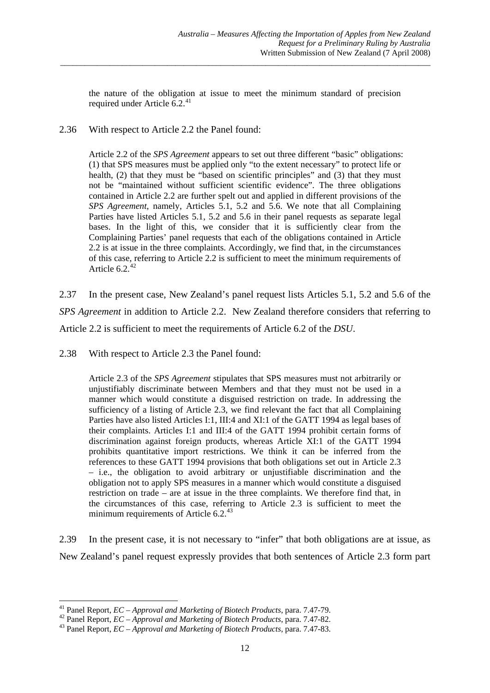the nature of the obligation at issue to meet the minimum standard of precision required under Article  $6.2^{41}$  $6.2^{41}$  $6.2^{41}$ 

\_\_\_\_\_\_\_\_\_\_\_\_\_\_\_\_\_\_\_\_\_\_\_\_\_\_\_\_\_\_\_\_\_\_\_\_\_\_\_\_\_\_\_\_\_\_\_\_\_\_\_\_\_\_\_\_\_\_\_\_\_\_\_\_\_\_\_\_\_\_\_\_\_\_\_\_\_\_\_\_\_\_\_\_\_\_\_\_\_\_

2.36 With respect to Article 2.2 the Panel found:

Article 2.2 of the *SPS Agreement* appears to set out three different "basic" obligations: (1) that SPS measures must be applied only "to the extent necessary" to protect life or health, (2) that they must be "based on scientific principles" and (3) that they must not be "maintained without sufficient scientific evidence". The three obligations contained in Article 2.2 are further spelt out and applied in different provisions of the *SPS Agreement*, namely, Articles 5.1, 5.2 and 5.6. We note that all Complaining Parties have listed Articles 5.1, 5.2 and 5.6 in their panel requests as separate legal bases. In the light of this, we consider that it is sufficiently clear from the Complaining Parties' panel requests that each of the obligations contained in Article 2.2 is at issue in the three complaints. Accordingly, we find that, in the circumstances of this case, referring to Article 2.2 is sufficient to meet the minimum requirements of Article 6.2 $42$ 

2.37 In the present case, New Zealand's panel request lists Articles 5.1, 5.2 and 5.6 of the *SPS Agreement* in addition to Article 2.2. New Zealand therefore considers that referring to Article 2.2 is sufficient to meet the requirements of Article 6.2 of the *DSU*.

2.38 With respect to Article 2.3 the Panel found:

Article 2.3 of the *SPS Agreement* stipulates that SPS measures must not arbitrarily or unjustifiably discriminate between Members and that they must not be used in a manner which would constitute a disguised restriction on trade. In addressing the sufficiency of a listing of Article 2.3, we find relevant the fact that all Complaining Parties have also listed Articles I:1, III:4 and XI:1 of the GATT 1994 as legal bases of their complaints. Articles I:1 and III:4 of the GATT 1994 prohibit certain forms of discrimination against foreign products, whereas Article XI:1 of the GATT 1994 prohibits quantitative import restrictions. We think it can be inferred from the references to these GATT 1994 provisions that both obligations set out in Article 2.3 – i.e., the obligation to avoid arbitrary or unjustifiable discrimination and the obligation not to apply SPS measures in a manner which would constitute a disguised restriction on trade – are at issue in the three complaints. We therefore find that, in the circumstances of this case, referring to Article 2.3 is sufficient to meet the minimum requirements of Article  $6.2^{43}$  $6.2^{43}$  $6.2^{43}$ 

2.39 In the present case, it is not necessary to "infer" that both obligations are at issue, as New Zealand's panel request expressly provides that both sentences of Article 2.3 form part

<sup>&</sup>lt;sup>41</sup> Panel Report,  $EC - A$ *pproval and Marketing of Biotech Products*, para. 7.47-79.

<span id="page-13-1"></span><span id="page-13-0"></span>Panel Report, *EC* - *Approval and Marketing of Biotech Products*, para. 7.47-82.<br><sup>42</sup> Panel Report, *EC* - *Approval and Marketing of Biotech Products*, para. 7.47-82.<br><sup>43</sup> Panel Report, *EC* - *Approval and Marketing of* 

<span id="page-13-2"></span>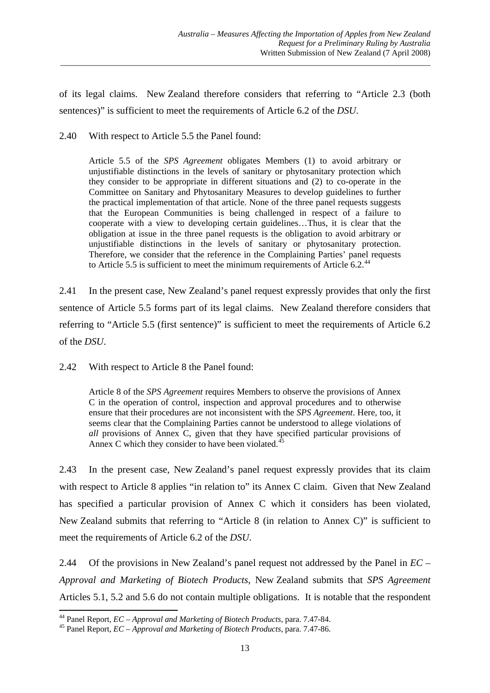of its legal claims. New Zealand therefore considers that referring to "Article 2.3 (both sentences)" is sufficient to meet the requirements of Article 6.2 of the *DSU*.

\_\_\_\_\_\_\_\_\_\_\_\_\_\_\_\_\_\_\_\_\_\_\_\_\_\_\_\_\_\_\_\_\_\_\_\_\_\_\_\_\_\_\_\_\_\_\_\_\_\_\_\_\_\_\_\_\_\_\_\_\_\_\_\_\_\_\_\_\_\_\_\_\_\_\_\_\_\_\_\_\_\_\_\_\_\_\_\_\_\_

#### 2.40 With respect to Article 5.5 the Panel found:

Article 5.5 of the *SPS Agreement* obligates Members (1) to avoid arbitrary or unjustifiable distinctions in the levels of sanitary or phytosanitary protection which they consider to be appropriate in different situations and (2) to co-operate in the Committee on Sanitary and Phytosanitary Measures to develop guidelines to further the practical implementation of that article. None of the three panel requests suggests that the European Communities is being challenged in respect of a failure to cooperate with a view to developing certain guidelines…Thus, it is clear that the obligation at issue in the three panel requests is the obligation to avoid arbitrary or unjustifiable distinctions in the levels of sanitary or phytosanitary protection. Therefore, we consider that the reference in the Complaining Parties' panel requests to Article 5.5 is sufficient to meet the minimum requirements of Article 6.2.<sup>[44](#page-14-0)</sup>

2.41 In the present case, New Zealand's panel request expressly provides that only the first sentence of Article 5.5 forms part of its legal claims. New Zealand therefore considers that referring to "Article 5.5 (first sentence)" is sufficient to meet the requirements of Article 6.2 of the *DSU*.

2.42 With respect to Article 8 the Panel found:

Article 8 of the *SPS Agreement* requires Members to observe the provisions of Annex C in the operation of control, inspection and approval procedures and to otherwise ensure that their procedures are not inconsistent with the *SPS Agreement*. Here, too, it seems clear that the Complaining Parties cannot be understood to allege violations of *all* provisions of Annex C, given that they have specified particular provisions of Annex C which they consider to have been violated.<sup>4</sup>

2.43 In the present case, New Zealand's panel request expressly provides that its claim with respect to Article 8 applies "in relation to" its Annex C claim. Given that New Zealand has specified a particular provision of Annex C which it considers has been violated, New Zealand submits that referring to "Article 8 (in relation to Annex C)" is sufficient to meet the requirements of Article 6.2 of the *DSU*.

2.44 Of the provisions in New Zealand's panel request not addressed by the Panel in *EC – Approval and Marketing of Biotech Products*, New Zealand submits that *SPS Agreement* Articles 5.1, 5.2 and 5.6 do not contain multiple obligations. It is notable that the respondent

<span id="page-14-0"></span><sup>&</sup>lt;sup>44</sup> Panel Report,  $EC$  – Approval and Marketing of Biotech Products, para. 7.47-84.

<span id="page-14-1"></span><sup>44</sup> Panel Report, *EC – Approval and Marketing of Biotech Products*, para. 7.47-84. 45 Panel Report, *EC – Approval and Marketing of Biotech Products*, para. 7.47-86.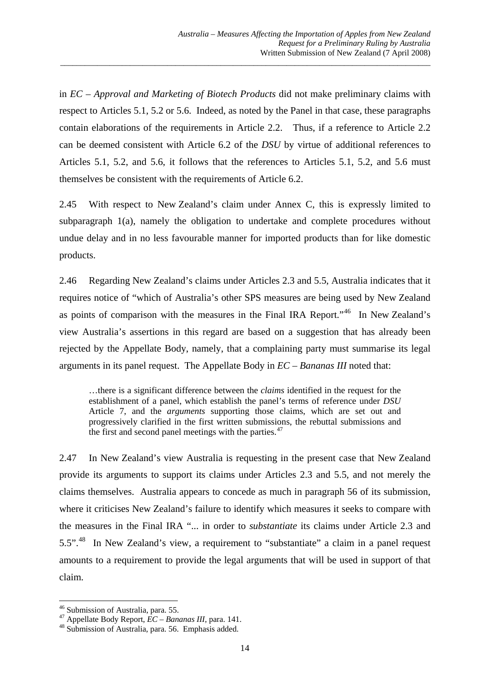in *EC – Approval and Marketing of Biotech Products* did not make preliminary claims with respect to Articles 5.1, 5.2 or 5.6. Indeed, as noted by the Panel in that case, these paragraphs contain elaborations of the requirements in Article 2.2. Thus, if a reference to Article 2.2 can be deemed consistent with Article 6.2 of the *DSU* by virtue of additional references to Articles 5.1, 5.2, and 5.6, it follows that the references to Articles 5.1, 5.2, and 5.6 must themselves be consistent with the requirements of Article 6.2.

\_\_\_\_\_\_\_\_\_\_\_\_\_\_\_\_\_\_\_\_\_\_\_\_\_\_\_\_\_\_\_\_\_\_\_\_\_\_\_\_\_\_\_\_\_\_\_\_\_\_\_\_\_\_\_\_\_\_\_\_\_\_\_\_\_\_\_\_\_\_\_\_\_\_\_\_\_\_\_\_\_\_\_\_\_\_\_\_\_\_

2.45 With respect to New Zealand's claim under Annex C, this is expressly limited to subparagraph 1(a), namely the obligation to undertake and complete procedures without undue delay and in no less favourable manner for imported products than for like domestic products.

2.46 Regarding New Zealand's claims under Articles 2.3 and 5.5, Australia indicates that it requires notice of "which of Australia's other SPS measures are being used by New Zealand as points of comparison with the measures in the Final IRA Report."[46](#page-15-0) In New Zealand's view Australia's assertions in this regard are based on a suggestion that has already been rejected by the Appellate Body, namely, that a complaining party must summarise its legal arguments in its panel request. The Appellate Body in *EC – Bananas III* noted that:

…there is a significant difference between the *claims* identified in the request for the establishment of a panel, which establish the panel's terms of reference under *DSU* Article 7, and the *arguments* supporting those claims, which are set out and progressively clarified in the first written submissions, the rebuttal submissions and the first and second panel meetings with the parties. $47$ 

2.47 In New Zealand's view Australia is requesting in the present case that New Zealand provide its arguments to support its claims under Articles 2.3 and 5.5, and not merely the claims themselves. Australia appears to concede as much in paragraph 56 of its submission, where it criticises New Zealand's failure to identify which measures it seeks to compare with the measures in the Final IRA "... in order to *substantiate* its claims under Article 2.3 and 5.5".[48](#page-15-2) In New Zealand's view, a requirement to "substantiate" a claim in a panel request amounts to a requirement to provide the legal arguments that will be used in support of that claim.

 <sup>46</sup> Submission of Australia, para. 55.

<span id="page-15-2"></span><span id="page-15-1"></span><span id="page-15-0"></span><sup>47</sup> Appellate Body Report, *EC – Bananas III*, para. 141.<br><sup>48</sup> Submission of Australia, para. 56. Emphasis added.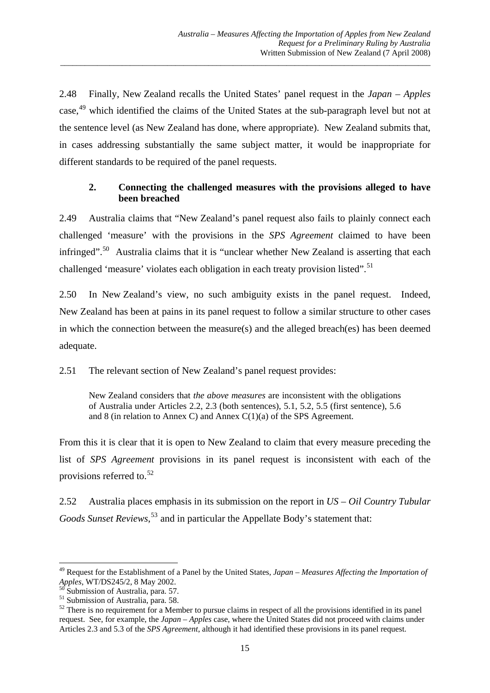2.48 Finally, New Zealand recalls the United States' panel request in the *Japan – Apples*  case.<sup>[49](#page-16-0)</sup> which identified the claims of the United States at the sub-paragraph level but not at the sentence level (as New Zealand has done, where appropriate). New Zealand submits that, in cases addressing substantially the same subject matter, it would be inappropriate for different standards to be required of the panel requests.

\_\_\_\_\_\_\_\_\_\_\_\_\_\_\_\_\_\_\_\_\_\_\_\_\_\_\_\_\_\_\_\_\_\_\_\_\_\_\_\_\_\_\_\_\_\_\_\_\_\_\_\_\_\_\_\_\_\_\_\_\_\_\_\_\_\_\_\_\_\_\_\_\_\_\_\_\_\_\_\_\_\_\_\_\_\_\_\_\_\_

#### **2. Connecting the challenged measures with the provisions alleged to have been breached**

2.49 Australia claims that "New Zealand's panel request also fails to plainly connect each challenged 'measure' with the provisions in the *SPS Agreement* claimed to have been infringed".<sup>[50](#page-16-1)</sup> Australia claims that it is "unclear whether New Zealand is asserting that each challenged 'measure' violates each obligation in each treaty provision listed".<sup>[51](#page-16-2)</sup>

2.50 In New Zealand's view, no such ambiguity exists in the panel request. Indeed, New Zealand has been at pains in its panel request to follow a similar structure to other cases in which the connection between the measure(s) and the alleged breach(es) has been deemed adequate.

2.51 The relevant section of New Zealand's panel request provides:

New Zealand considers that *the above measures* are inconsistent with the obligations of Australia under Articles 2.2, 2.3 (both sentences), 5.1, 5.2, 5.5 (first sentence), 5.6 and 8 (in relation to Annex C) and Annex C(1)(a) of the SPS Agreement.

From this it is clear that it is open to New Zealand to claim that every measure preceding the list of *SPS Agreement* provisions in its panel request is inconsistent with each of the provisions referred to. $52$ 

2.52 Australia places emphasis in its submission on the report in *US – Oil Country Tubular Goods Sunset Reviews*, [53](#page-16-1) and in particular the Appellate Body's statement that:

<span id="page-16-0"></span><sup>49</sup> Request for the Establishment of a Panel by the United States, *Japan – Measures Affecting the Importation of Apples*, WT/DS245/2, 8 May 2002.<br><sup>50</sup> Submission of Australia, para. 57.

<span id="page-16-2"></span><span id="page-16-1"></span><sup>51</sup> Submission of Australia, para. 58.

<span id="page-16-3"></span> $52$  There is no requirement for a Member to pursue claims in respect of all the provisions identified in its panel request. See, for example, the *Japan – Apples* case, where the United States did not proceed with claims under Articles 2.3 and 5.3 of the *SPS Agreement*, although it had identified these provisions in its panel request.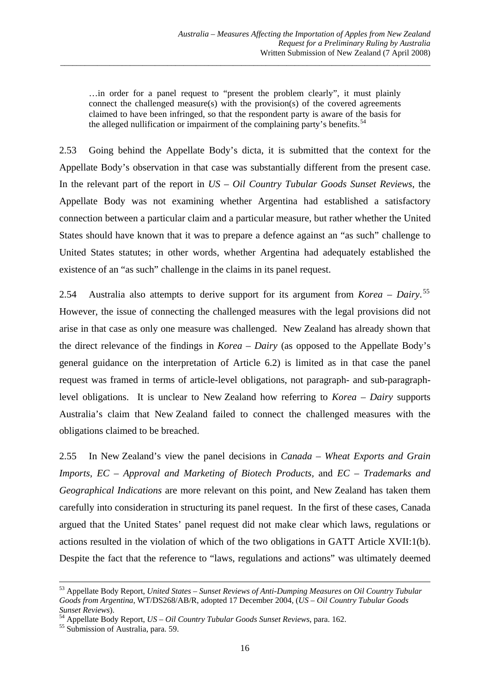…in order for a panel request to "present the problem clearly", it must plainly connect the challenged measure(s) with the provision(s) of the covered agreements claimed to have been infringed, so that the respondent party is aware of the basis for the alleged nullification or impairment of the complaining party's benefits.<sup>[54](#page-17-0)</sup>

\_\_\_\_\_\_\_\_\_\_\_\_\_\_\_\_\_\_\_\_\_\_\_\_\_\_\_\_\_\_\_\_\_\_\_\_\_\_\_\_\_\_\_\_\_\_\_\_\_\_\_\_\_\_\_\_\_\_\_\_\_\_\_\_\_\_\_\_\_\_\_\_\_\_\_\_\_\_\_\_\_\_\_\_\_\_\_\_\_\_

2.53 Going behind the Appellate Body's dicta, it is submitted that the context for the Appellate Body's observation in that case was substantially different from the present case. In the relevant part of the report in *US – Oil Country Tubular Goods Sunset Reviews*, the Appellate Body was not examining whether Argentina had established a satisfactory connection between a particular claim and a particular measure, but rather whether the United States should have known that it was to prepare a defence against an "as such" challenge to United States statutes; in other words, whether Argentina had adequately established the existence of an "as such" challenge in the claims in its panel request.

2.54 Australia also attempts to derive support for its argument from *Korea – Dairy*. [55](#page-17-1) However, the issue of connecting the challenged measures with the legal provisions did not arise in that case as only one measure was challenged. New Zealand has already shown that the direct relevance of the findings in *Korea – Dairy* (as opposed to the Appellate Body's general guidance on the interpretation of Article 6.2) is limited as in that case the panel request was framed in terms of article-level obligations, not paragraph- and sub-paragraphlevel obligations. It is unclear to New Zealand how referring to *Korea – Dairy* supports Australia's claim that New Zealand failed to connect the challenged measures with the obligations claimed to be breached.

2.55 In New Zealand's view the panel decisions in *Canada – Wheat Exports and Grain Imports, EC – Approval and Marketing of Biotech Products,* and *EC – Trademarks and Geographical Indications* are more relevant on this point, and New Zealand has taken them carefully into consideration in structuring its panel request. In the first of these cases, Canada argued that the United States' panel request did not make clear which laws, regulations or actions resulted in the violation of which of the two obligations in GATT Article XVII:1(b). Despite the fact that the reference to "laws, regulations and actions" was ultimately deemed

<u> 1989 - Johann Barn, amerikansk politiker (d. 1989)</u>

<sup>53</sup> Appellate Body Report, *United States – Sunset Reviews of Anti-Dumping Measures on Oil Country Tubular Goods from Argentina*, WT/DS268/AB/R, adopted 17 December 2004, (*US – Oil Country Tubular Goods Sunset Reviews*). 54 Appellate Body Report, *US – Oil Country Tubular Goods Sunset Reviews*, para. 162. 55 Submission of Australia, para. 59.

<span id="page-17-0"></span>

<span id="page-17-1"></span>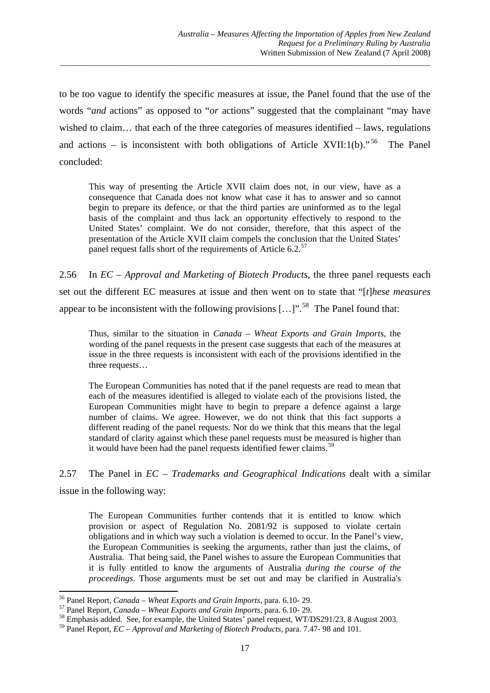to be too vague to identify the specific measures at issue, the Panel found that the use of the words "*and* actions" as opposed to "*or* actions" suggested that the complainant "may have wished to claim… that each of the three categories of measures identified – laws, regulations and actions – is inconsistent with both obligations of Article XVII:1(b).<sup>[56](#page-18-0)</sup> The Panel concluded:

\_\_\_\_\_\_\_\_\_\_\_\_\_\_\_\_\_\_\_\_\_\_\_\_\_\_\_\_\_\_\_\_\_\_\_\_\_\_\_\_\_\_\_\_\_\_\_\_\_\_\_\_\_\_\_\_\_\_\_\_\_\_\_\_\_\_\_\_\_\_\_\_\_\_\_\_\_\_\_\_\_\_\_\_\_\_\_\_\_\_

This way of presenting the Article XVII claim does not, in our view, have as a consequence that Canada does not know what case it has to answer and so cannot begin to prepare its defence, or that the third parties are uninformed as to the legal basis of the complaint and thus lack an opportunity effectively to respond to the United States' complaint. We do not consider, therefore, that this aspect of the presentation of the Article XVII claim compels the conclusion that the United States' panel request falls short of the requirements of Article 6.2.<sup>[57](#page-18-1)</sup>

2.56 In *EC – Approval and Marketing of Biotech Products*, the three panel requests each set out the different EC measures at issue and then went on to state that "[*t*]*hese measures* appear to be inconsistent with the following provisions  $[...]$ <sup>".[58](#page-18-2)</sup> The Panel found that:

Thus, similar to the situation in *Canada – Wheat Exports and Grain Imports*, the wording of the panel requests in the present case suggests that each of the measures at issue in the three requests is inconsistent with each of the provisions identified in the three requests…

The European Communities has noted that if the panel requests are read to mean that each of the measures identified is alleged to violate each of the provisions listed, the European Communities might have to begin to prepare a defence against a large number of claims. We agree. However, we do not think that this fact supports a different reading of the panel requests. Nor do we think that this means that the legal standard of clarity against which these panel requests must be measured is higher than it would have been had the panel requests identified fewer claims.<sup>[59](#page-18-3)</sup>

2.57 The Panel in *EC – Trademarks and Geographical Indications* dealt with a similar issue in the following way:

The European Communities further contends that it is entitled to know which provision or aspect of Regulation No. 2081/92 is supposed to violate certain obligations and in which way such a violation is deemed to occur. In the Panel's view, the European Communities is seeking the arguments, rather than just the claims, of Australia. That being said, the Panel wishes to assure the European Communities that it is fully entitled to know the arguments of Australia *during the course of the proceedings*. Those arguments must be set out and may be clarified in Australia's

<sup>&</sup>lt;sup>56</sup> Panel Report, *Canada – Wheat Exports and Grain Imports*, para. 6.10-29.

<span id="page-18-2"></span><span id="page-18-1"></span><span id="page-18-0"></span><sup>&</sup>lt;sup>57</sup> Panel Report, *Canada – Wheat Exports and Grain Imports*, para. 6.10- 29.<br><sup>58</sup> Emphasis added. See, for example, the United States' panel request, WT/DS291/23, 8 August 2003.

<span id="page-18-3"></span><sup>59</sup> Panel Report, *EC – Approval and Marketing of Biotech Products*, para. 7.47- 98 and 101.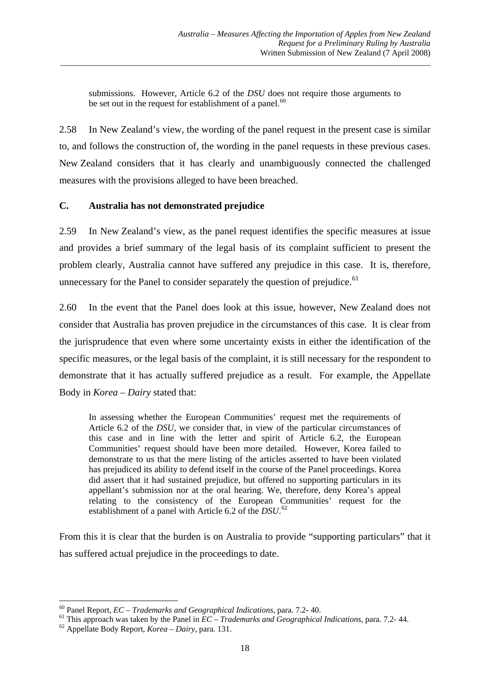submissions. However, Article 6.2 of the *DSU* does not require those arguments to be set out in the request for establishment of a panel. $60$ 

\_\_\_\_\_\_\_\_\_\_\_\_\_\_\_\_\_\_\_\_\_\_\_\_\_\_\_\_\_\_\_\_\_\_\_\_\_\_\_\_\_\_\_\_\_\_\_\_\_\_\_\_\_\_\_\_\_\_\_\_\_\_\_\_\_\_\_\_\_\_\_\_\_\_\_\_\_\_\_\_\_\_\_\_\_\_\_\_\_\_

2.58 In New Zealand's view, the wording of the panel request in the present case is similar to, and follows the construction of, the wording in the panel requests in these previous cases. New Zealand considers that it has clearly and unambiguously connected the challenged measures with the provisions alleged to have been breached.

#### **C. Australia has not demonstrated prejudice**

2.59 In New Zealand's view, as the panel request identifies the specific measures at issue and provides a brief summary of the legal basis of its complaint sufficient to present the problem clearly, Australia cannot have suffered any prejudice in this case. It is, therefore, unnecessary for the Panel to consider separately the question of prejudice.<sup>[61](#page-19-1)</sup>

2.60 In the event that the Panel does look at this issue, however, New Zealand does not consider that Australia has proven prejudice in the circumstances of this case. It is clear from the jurisprudence that even where some uncertainty exists in either the identification of the specific measures, or the legal basis of the complaint, it is still necessary for the respondent to demonstrate that it has actually suffered prejudice as a result. For example, the Appellate Body in *Korea – Dairy* stated that:

In assessing whether the European Communities' request met the requirements of Article 6.2 of the *DSU*, we consider that, in view of the particular circumstances of this case and in line with the letter and spirit of Article 6.2, the European Communities' request should have been more detailed. However, Korea failed to demonstrate to us that the mere listing of the articles asserted to have been violated has prejudiced its ability to defend itself in the course of the Panel proceedings. Korea did assert that it had sustained prejudice, but offered no supporting particulars in its appellant's submission nor at the oral hearing. We, therefore, deny Korea's appeal relating to the consistency of the European Communities' request for the establishment of a panel with Article 6.2 of the *DSU*. [62](#page-19-2)

From this it is clear that the burden is on Australia to provide "supporting particulars" that it has suffered actual prejudice in the proceedings to date.

<span id="page-19-0"></span> $^{60}$  Panel Report, *EC* – *Trademarks and Geographical Indications, para, 7.2-40.* 

<span id="page-19-1"></span><sup>&</sup>lt;sup>61</sup> This approach was taken by the Panel in  $\overline{EC}$  – *Trademarks and Geographical Indications*, para. 7.2-44.<br><sup>62</sup> Appellate Body Report, *Korea – Dairy*, para. 131.

<span id="page-19-2"></span>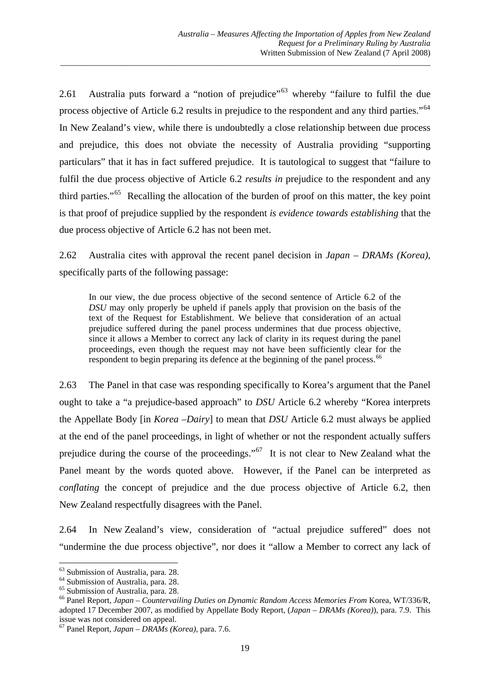2.61 Australia puts forward a "notion of prejudice"<sup>[63](#page-20-0)</sup> whereby "failure to fulfil the due process objective of Article 6.2 results in prejudice to the respondent and any third parties."[64](#page-20-1) In New Zealand's view, while there is undoubtedly a close relationship between due process and prejudice, this does not obviate the necessity of Australia providing "supporting particulars" that it has in fact suffered prejudice. It is tautological to suggest that "failure to fulfil the due process objective of Article 6.2 *results in* prejudice to the respondent and any third parties."[65](#page-20-2) Recalling the allocation of the burden of proof on this matter, the key point is that proof of prejudice supplied by the respondent *is evidence towards establishing* that the due process objective of Article 6.2 has not been met.

\_\_\_\_\_\_\_\_\_\_\_\_\_\_\_\_\_\_\_\_\_\_\_\_\_\_\_\_\_\_\_\_\_\_\_\_\_\_\_\_\_\_\_\_\_\_\_\_\_\_\_\_\_\_\_\_\_\_\_\_\_\_\_\_\_\_\_\_\_\_\_\_\_\_\_\_\_\_\_\_\_\_\_\_\_\_\_\_\_\_

2.62 Australia cites with approval the recent panel decision in *Japan – DRAMs (Korea)*, specifically parts of the following passage:

In our view, the due process objective of the second sentence of Article 6.2 of the *DSU* may only properly be upheld if panels apply that provision on the basis of the text of the Request for Establishment. We believe that consideration of an actual prejudice suffered during the panel process undermines that due process objective, since it allows a Member to correct any lack of clarity in its request during the panel proceedings, even though the request may not have been sufficiently clear for the respondent to begin preparing its defence at the beginning of the panel process.<sup>[66](#page-20-3)</sup>

2.63 The Panel in that case was responding specifically to Korea's argument that the Panel ought to take a "a prejudice-based approach" to *DSU* Article 6.2 whereby "Korea interprets the Appellate Body [in *Korea –Dairy*] to mean that *DSU* Article 6.2 must always be applied at the end of the panel proceedings, in light of whether or not the respondent actually suffers prejudice during the course of the proceedings."<sup>[67](#page-20-4)</sup> It is not clear to New Zealand what the Panel meant by the words quoted above. However, if the Panel can be interpreted as *conflating* the concept of prejudice and the due process objective of Article 6.2, then New Zealand respectfully disagrees with the Panel.

2.64 In New Zealand's view, consideration of "actual prejudice suffered" does not "undermine the due process objective", nor does it "allow a Member to correct any lack of

 63 Submission of Australia, para. 28.

<span id="page-20-1"></span><span id="page-20-0"></span><sup>64</sup> Submission of Australia, para. 28.

<span id="page-20-2"></span><sup>65</sup> Submission of Australia, para. 28.

<span id="page-20-3"></span><sup>66</sup> Panel Report, *Japan – Countervailing Duties on Dynamic Random Access Memories From* Korea, WT/336/R, adopted 17 December 2007, as modified by Appellate Body Report, (*Japan – DRAMs (Korea)*), para. 7.9. This issue was not considered on appeal.

<span id="page-20-4"></span><sup>67</sup> Panel Report, *Japan – DRAMs (Korea)*, para. 7.6.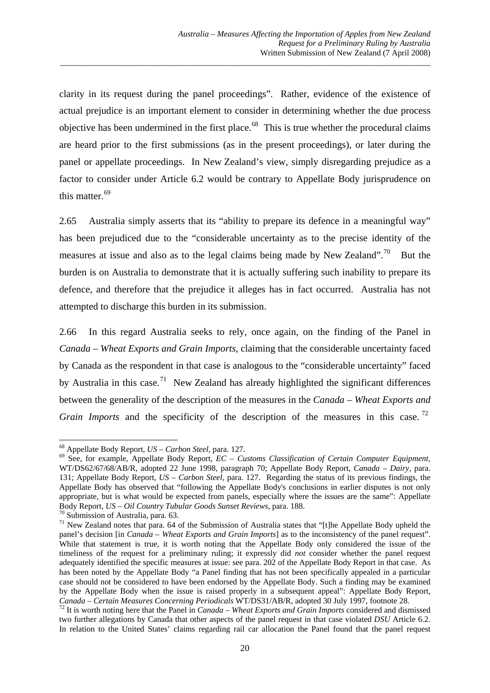clarity in its request during the panel proceedings". Rather, evidence of the existence of actual prejudice is an important element to consider in determining whether the due process objective has been undermined in the first place.<sup>[68](#page-21-0)</sup> This is true whether the procedural claims are heard prior to the first submissions (as in the present proceedings), or later during the panel or appellate proceedings. In New Zealand's view, simply disregarding prejudice as a factor to consider under Article 6.2 would be contrary to Appellate Body jurisprudence on this matter.<sup>[69](#page-21-1)</sup>

\_\_\_\_\_\_\_\_\_\_\_\_\_\_\_\_\_\_\_\_\_\_\_\_\_\_\_\_\_\_\_\_\_\_\_\_\_\_\_\_\_\_\_\_\_\_\_\_\_\_\_\_\_\_\_\_\_\_\_\_\_\_\_\_\_\_\_\_\_\_\_\_\_\_\_\_\_\_\_\_\_\_\_\_\_\_\_\_\_\_

2.65 Australia simply asserts that its "ability to prepare its defence in a meaningful way" has been prejudiced due to the "considerable uncertainty as to the precise identity of the measures at issue and also as to the legal claims being made by New Zealand".<sup>[70](#page-21-2)</sup> But the burden is on Australia to demonstrate that it is actually suffering such inability to prepare its defence, and therefore that the prejudice it alleges has in fact occurred. Australia has not attempted to discharge this burden in its submission.

2.66 In this regard Australia seeks to rely, once again, on the finding of the Panel in *Canada – Wheat Exports and Grain Imports*, claiming that the considerable uncertainty faced by Canada as the respondent in that case is analogous to the "considerable uncertainty" faced by Australia in this case.<sup>[71](#page-21-3)</sup> New Zealand has already highlighted the significant differences between the generality of the description of the measures in the *Canada – Wheat Exports and Grain Imports* and the specificity of the description of the measures in this case.<sup>[72](#page-21-4)</sup>

<span id="page-21-0"></span> $68$  Appellate Body Report,  $US - Carbon Steel$ , para, 127.

<span id="page-21-1"></span><sup>&</sup>lt;sup>69</sup> See, for example, Appellate Body Report, *EC – Customs Classification of Certain Computer Equipment*, WT/DS62/67/68/AB/R, adopted 22 June 1998, paragraph 70; Appellate Body Report, *Canada – Dairy,* para. 131; Appellate Body Report, *US – Carbon Steel,* para. 127.Regarding the status of its previous findings, the Appellate Body has observed that "following the Appellate Body's conclusions in earlier disputes is not only appropriate, but is what would be expected from panels, especially where the issues are the same": Appellate Body Report, *US – Oil Country Tubular Goods Sunset Reviews*, para. 188. <sup>70</sup> Submission of Australia, para. 63.

<span id="page-21-3"></span><span id="page-21-2"></span><sup>&</sup>lt;sup>71</sup> New Zealand notes that para. 64 of the Submission of Australia states that "[t]he Appellate Body upheld the panel's decision [in *Canada – Wheat Exports and Grain Imports*] as to the inconsistency of the panel request". While that statement is true, it is worth noting that the Appellate Body only considered the issue of the timeliness of the request for a preliminary ruling; it expressly did *not* consider whether the panel request adequately identified the specific measures at issue: see para. 202 of the Appellate Body Report in that case. As has been noted by the Appellate Body "a Panel finding that has not been specifically appealed in a particular case should not be considered to have been endorsed by the Appellate Body. Such a finding may be examined by the Appellate Body when the issue is raised properly in a subsequent appeal": Appellate Body Report, Canada – Certain Measures Concerning Periodicals WT/DS31/AB/R, adopted 30 July 1997, footnote 28.

<span id="page-21-4"></span><sup>&</sup>lt;sup>72</sup> It is worth noting here that the Panel in *Canada – Wheat Exports and Grain Imports* considered and dismissed two further allegations by Canada that other aspects of the panel request in that case violated *DSU* Article 6.2. In relation to the United States' claims regarding rail car allocation the Panel found that the panel request